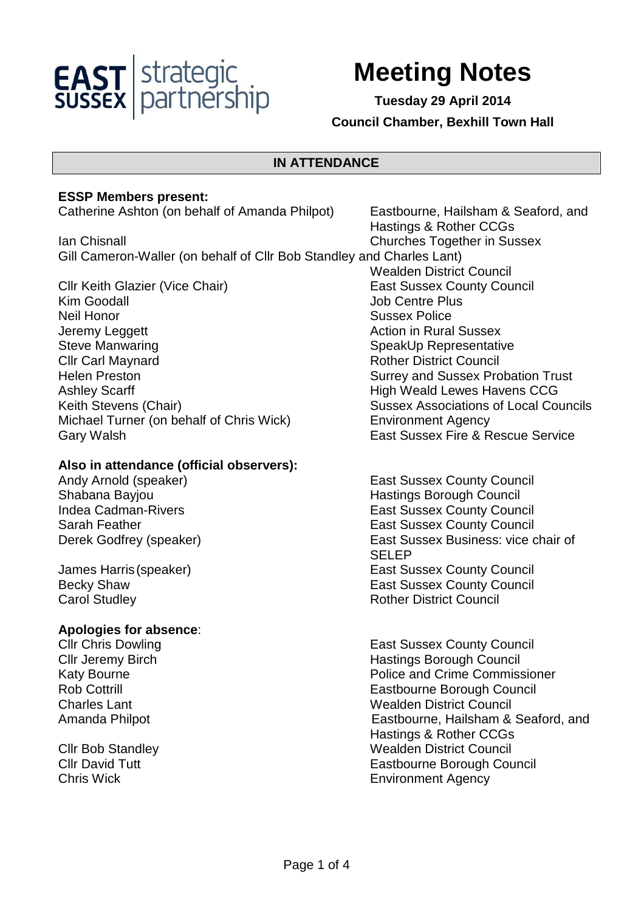

# **Meeting Notes**

**Tuesday 29 April 2014 Council Chamber, Bexhill Town Hall** 

Hastings & Rother CCGs

#### **IN ATTENDANCE**

#### **ESSP Members present:**

Catherine Ashton (on behalf of Amanda Philpot) Eastbourne, Hailsham & Seaford, and

Ian Chisnall Churches Together in Sussex Gill Cameron-Waller (on behalf of Cllr Bob Standley and Charles Lant)

Cllr Keith Glazier (Vice Chair) East Sussex County Council Kim Goodall **All According to the Contract Contract Contract Contract Contract Contract Contract Contract Contract Contract Contract Contract Contract Contract Contract Contract Contract Contract Contract Contract Contract** Neil Honor **New York Contract Contract Contract Contract Contract Contract Contract Contract Contract Contract Contract Contract Contract Contract Contract Contract Contract Contract Contract Contract Contract Contract Con** Jeremy Leggett **Action** in Rural Sussex Steve Manwaring Steve Manwaring Steve Manwaring Steve SpeakUp Representative **Clir Carl Maynard Clir Council Rother District Council** Helen Preston **Surrey and Sussex Probation Trust** Ashley Scarff **High Weald Lewes Havens CCG** Michael Turner (on behalf of Chris Wick) Environment Agency Gary Walsh East Sussex Fire & Rescue Service

#### **Also in attendance (official observers):**

**Carol Studley Carol Studies** 

### **Apologies for absence**:

 Wealden District Council Keith Stevens (Chair) Sussex Associations of Local Councils

Andy Arnold (speaker) **East Sussex County Council** East Sussex County Council Shabana Bayjou **Hastings Borough Council** Indea Cadman-Rivers **East Sussex County Council** Sarah Feather **East Sussex County Council** Sarah Feather Derek Godfrey (speaker) **East Sussex Business:** vice chair of SELEP James Harris (speaker) The County Council East Sussex County Council Becky Shaw **East Sussex County Council** 

**Cllr Chris Dowling Client Council East Sussex County Council Cllr Jeremy Birch Council Club Council Exercise Solution Hastings Borough Council** Katy Bourne **Police and Crime Commissioner** Rob Cottrill Eastbourne Borough Council **Charles Lant Council Council** Charles Lant Council Charles Lant Council Council Amanda Philpot **Eastbourne**, Hailsham & Seaford, and Hastings & Rother CCGs **Clir Bob Standley Clir Bob Standley** Wealden District Council Cllr David Tutt Eastbourne Borough Council Chris Wick Environment Agency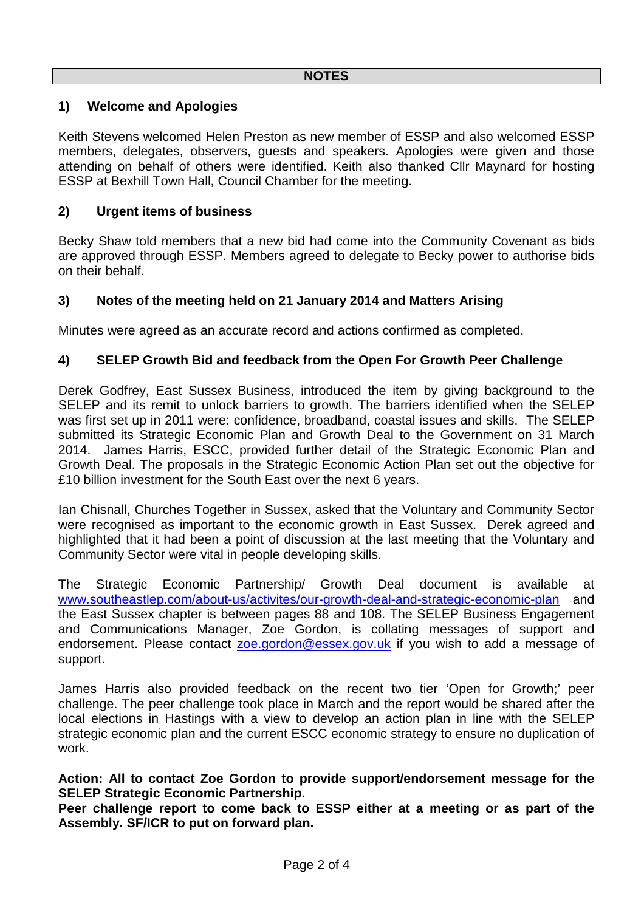## **1) Welcome and Apologies**

Keith Stevens welcomed Helen Preston as new member of ESSP and also welcomed ESSP members, delegates, observers, guests and speakers. Apologies were given and those attending on behalf of others were identified. Keith also thanked Cllr Maynard for hosting ESSP at Bexhill Town Hall, Council Chamber for the meeting.

#### **2) Urgent items of business**

Becky Shaw told members that a new bid had come into the Community Covenant as bids are approved through ESSP. Members agreed to delegate to Becky power to authorise bids on their behalf.

## **3) Notes of the meeting held on 21 January 2014 and Matters Arising**

Minutes were agreed as an accurate record and actions confirmed as completed.

## **4) SELEP Growth Bid and feedback from the Open For Growth Peer Challenge**

Derek Godfrey, East Sussex Business, introduced the item by giving background to the SELEP and its remit to unlock barriers to growth. The barriers identified when the SELEP was first set up in 2011 were: confidence, broadband, coastal issues and skills. The SELEP submitted its Strategic Economic Plan and Growth Deal to the Government on 31 March 2014. James Harris, ESCC, provided further detail of the Strategic Economic Plan and Growth Deal. The proposals in the Strategic Economic Action Plan set out the objective for £10 billion investment for the South East over the next 6 years.

Ian Chisnall, Churches Together in Sussex, asked that the Voluntary and Community Sector were recognised as important to the economic growth in East Sussex. Derek agreed and highlighted that it had been a point of discussion at the last meeting that the Voluntary and Community Sector were vital in people developing skills.

The Strategic Economic Partnership/ Growth Deal document is available at www.southeastlep.com/about-us/activites/our-growth-deal-and-strategic-economic-plan and the East Sussex chapter is between pages 88 and 108. The SELEP Business Engagement and Communications Manager, Zoe Gordon, is collating messages of support and endorsement. Please contact zoe.gordon@essex.gov.uk if you wish to add a message of support.

James Harris also provided feedback on the recent two tier 'Open for Growth;' peer challenge. The peer challenge took place in March and the report would be shared after the local elections in Hastings with a view to develop an action plan in line with the SELEP strategic economic plan and the current ESCC economic strategy to ensure no duplication of work.

#### **Action: All to contact Zoe Gordon to provide support/endorsement message for the SELEP Strategic Economic Partnership.**

**Peer challenge report to come back to ESSP either at a meeting or as part of the Assembly. SF/ICR to put on forward plan.**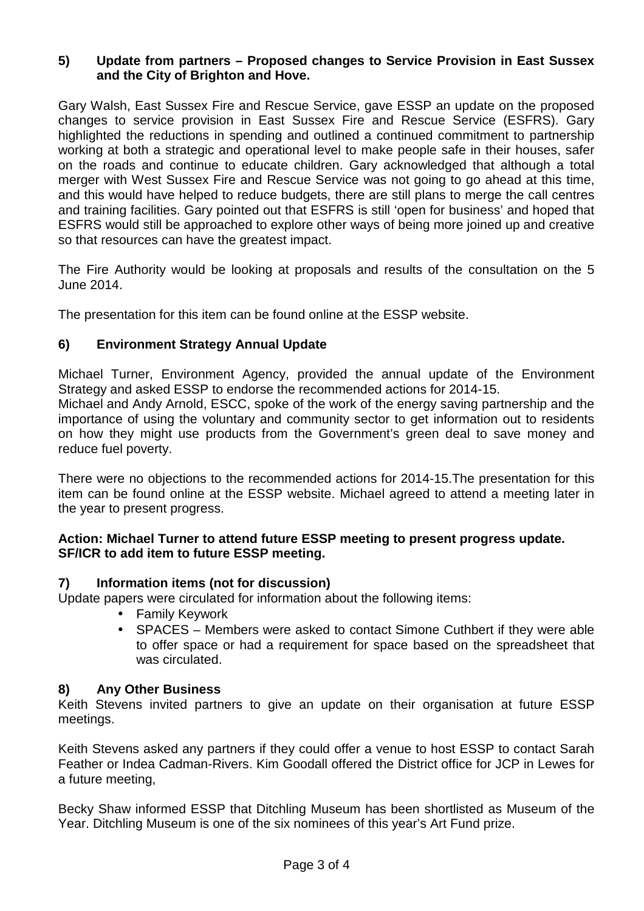## **5) Update from partners – Proposed changes to Service Provision in East Sussex and the City of Brighton and Hove.**

Gary Walsh, East Sussex Fire and Rescue Service, gave ESSP an update on the proposed changes to service provision in East Sussex Fire and Rescue Service (ESFRS). Gary highlighted the reductions in spending and outlined a continued commitment to partnership working at both a strategic and operational level to make people safe in their houses, safer on the roads and continue to educate children. Gary acknowledged that although a total merger with West Sussex Fire and Rescue Service was not going to go ahead at this time, and this would have helped to reduce budgets, there are still plans to merge the call centres and training facilities. Gary pointed out that ESFRS is still 'open for business' and hoped that ESFRS would still be approached to explore other ways of being more joined up and creative so that resources can have the greatest impact.

The Fire Authority would be looking at proposals and results of the consultation on the 5 June 2014.

The presentation for this item can be found online at the ESSP website.

# **6) Environment Strategy Annual Update**

Michael Turner, Environment Agency, provided the annual update of the Environment Strategy and asked ESSP to endorse the recommended actions for 2014-15.

Michael and Andy Arnold, ESCC, spoke of the work of the energy saving partnership and the importance of using the voluntary and community sector to get information out to residents on how they might use products from the Government's green deal to save money and reduce fuel poverty.

There were no objections to the recommended actions for 2014-15.The presentation for this item can be found online at the ESSP website. Michael agreed to attend a meeting later in the year to present progress.

#### **Action: Michael Turner to attend future ESSP meeting to present progress update. SF/ICR to add item to future ESSP meeting.**

#### **7) Information items (not for discussion)**

Update papers were circulated for information about the following items:

- Family Keywork
- SPACES Members were asked to contact Simone Cuthbert if they were able to offer space or had a requirement for space based on the spreadsheet that was circulated.

#### **8) Any Other Business**

Keith Stevens invited partners to give an update on their organisation at future ESSP meetings.

Keith Stevens asked any partners if they could offer a venue to host ESSP to contact Sarah Feather or Indea Cadman-Rivers. Kim Goodall offered the District office for JCP in Lewes for a future meeting,

Becky Shaw informed ESSP that Ditchling Museum has been shortlisted as Museum of the Year. Ditchling Museum is one of the six nominees of this year's Art Fund prize.